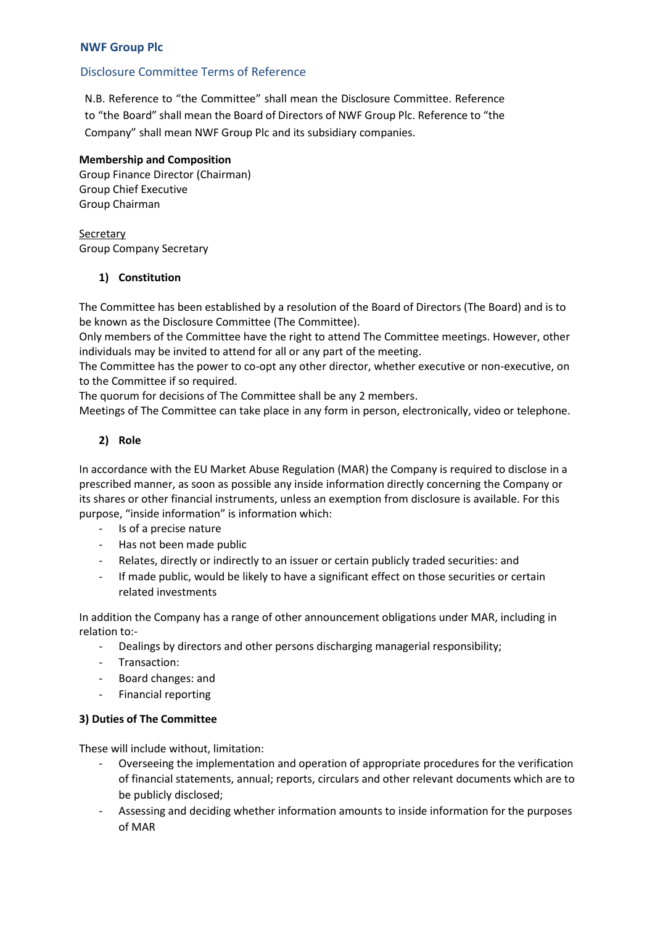# **NWF Group Plc**

## Disclosure Committee Terms of Reference

N.B. Reference to "the Committee" shall mean the Disclosure Committee. Reference to "the Board" shall mean the Board of Directors of NWF Group Plc. Reference to "the Company" shall mean NWF Group Plc and its subsidiary companies.

#### **Membership and Composition**

Group Finance Director (Chairman) Group Chief Executive Group Chairman

**Secretary** Group Company Secretary

#### **1) Constitution**

The Committee has been established by a resolution of the Board of Directors (The Board) and is to be known as the Disclosure Committee (The Committee).

Only members of the Committee have the right to attend The Committee meetings. However, other individuals may be invited to attend for all or any part of the meeting.

The Committee has the power to co-opt any other director, whether executive or non-executive, on to the Committee if so required.

The quorum for decisions of The Committee shall be any 2 members.

Meetings of The Committee can take place in any form in person, electronically, video or telephone.

#### **2) Role**

In accordance with the EU Market Abuse Regulation (MAR) the Company is required to disclose in a prescribed manner, as soon as possible any inside information directly concerning the Company or its shares or other financial instruments, unless an exemption from disclosure is available. For this purpose, "inside information" is information which:

- Is of a precise nature
- Has not been made public
- Relates, directly or indirectly to an issuer or certain publicly traded securities: and
- If made public, would be likely to have a significant effect on those securities or certain related investments

In addition the Company has a range of other announcement obligations under MAR, including in relation to:-

- Dealings by directors and other persons discharging managerial responsibility;
- Transaction:
- Board changes: and
- Financial reporting

#### **3) Duties of The Committee**

These will include without, limitation:

- Overseeing the implementation and operation of appropriate procedures for the verification of financial statements, annual; reports, circulars and other relevant documents which are to be publicly disclosed;
- Assessing and deciding whether information amounts to inside information for the purposes of MAR